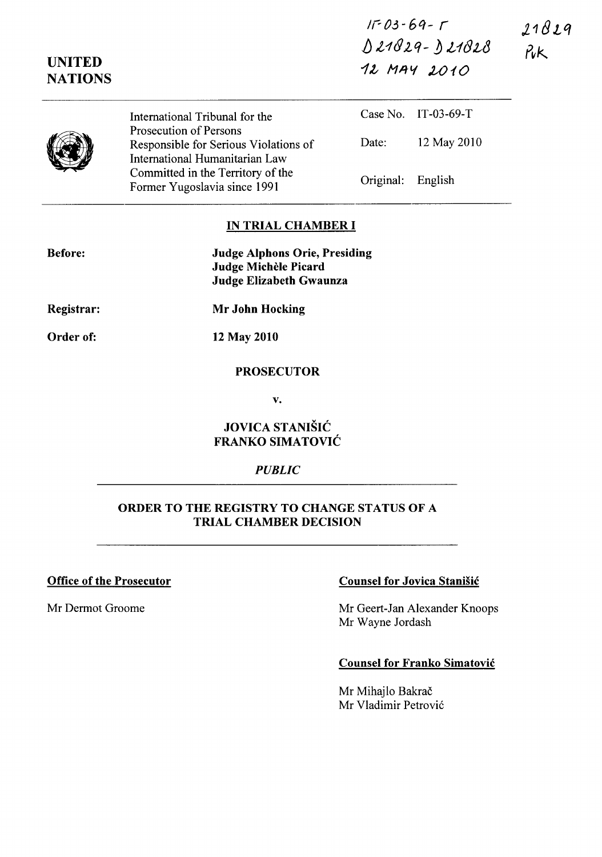| $11 - 03 - 69 - 17$ | 21829 |  |
|---------------------|-------|--|
| D 21829- D 21828    | rik.  |  |
| 12 MAY 2010         |       |  |

|  | International Tribunal for the<br>Prosecution of Persons                |                   | Case No. IT-03-69-T |
|--|-------------------------------------------------------------------------|-------------------|---------------------|
|  | Responsible for Serious Violations of<br>International Humanitarian Law | Date:             | 12 May 2010         |
|  | Committed in the Territory of the<br>Former Yugoslavia since 1991       | Original: English |                     |

#### IN TRIAL CHAMBER I

| <b>Before:</b> | <b>Judge Alphons Orie, Presiding</b> |
|----------------|--------------------------------------|
|                | Judge Michèle Picard                 |
|                | Judge Elizabeth Gwaunza              |

Registrar:

UNITED **NATIONS** 

 $\overline{\phantom{a}}$ 

Order of: 12 May 2010

### PROSECUTOR

Mr John Hocking

v.

# JOVICA STANIŠIĆ FRANKO SIMATOVIC

#### *PUBLIC*

#### ORDER TO THE REGISTRY TO CHANGE STATUS OF A TRIAL CHAMBER DECISION

# Office of the Prosecutor Counsel for Jovica Stanisic

Mr Dermot Groome Mr Geert-Jan Alexander Knoops Mr Wayne Jordash

## Counsel for Franko Simatovic

Mr Mihajlo Bakrač Mr Vladimir Petrovi6